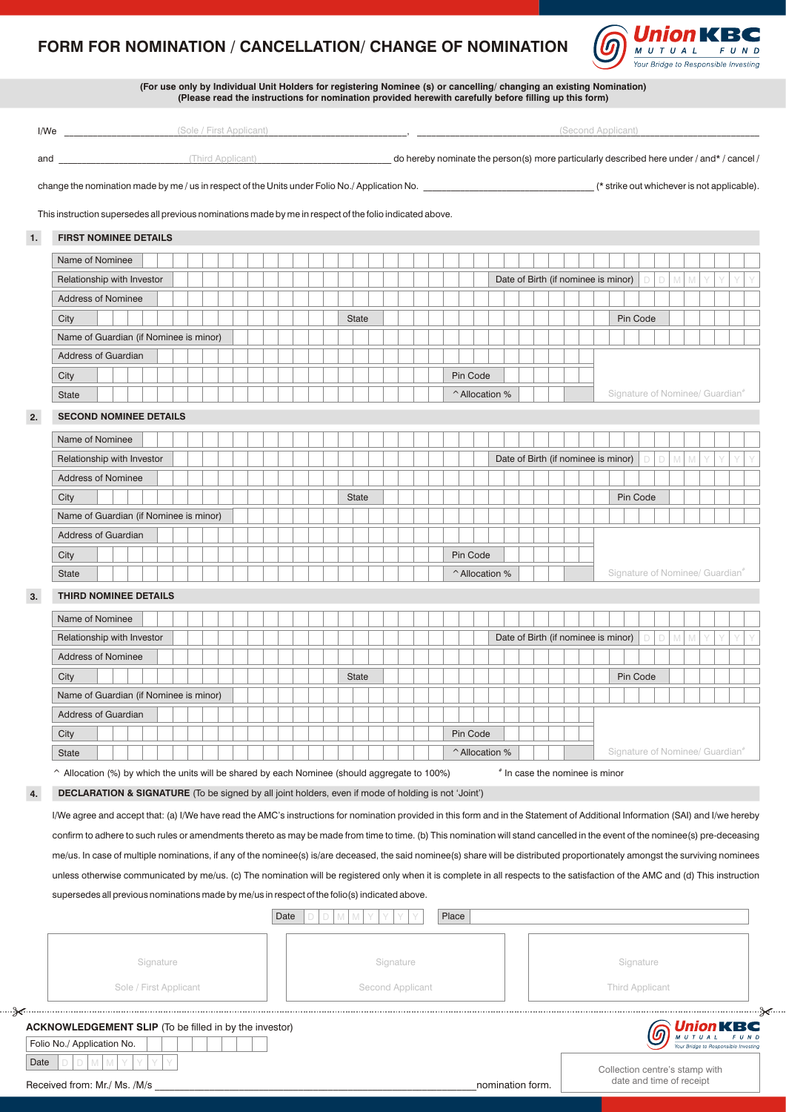## **FORM FOR NOMINATION / CANCELLATION/ CHANGE OF NOMINATION**



|      | (For use only by Individual Unit Holders for registering Nominee (s) or cancelling/changing an existing Nomination)<br>(Please read the instructions for nomination provided herewith carefully before filling up this form) |  |              |  |           |                  |  |                |                                                   |  |  |  |  |  |  |                                |  |                                             |  |   |   |   |  |        |
|------|------------------------------------------------------------------------------------------------------------------------------------------------------------------------------------------------------------------------------|--|--------------|--|-----------|------------------|--|----------------|---------------------------------------------------|--|--|--|--|--|--|--------------------------------|--|---------------------------------------------|--|---|---|---|--|--------|
|      | (Sole / First Applicant) (Sole / First Applicant)                                                                                                                                                                            |  |              |  |           |                  |  |                |                                                   |  |  |  |  |  |  |                                |  | (Second Applicant)                          |  |   |   |   |  |        |
|      |                                                                                                                                                                                                                              |  |              |  |           |                  |  |                |                                                   |  |  |  |  |  |  |                                |  |                                             |  |   |   |   |  |        |
|      |                                                                                                                                                                                                                              |  |              |  |           |                  |  |                |                                                   |  |  |  |  |  |  |                                |  |                                             |  |   |   |   |  |        |
|      | change the nomination made by me / us in respect of the Units under Folio No./ Application No. _______________________________ (* strike out whichever is not applicable).                                                   |  |              |  |           |                  |  |                |                                                   |  |  |  |  |  |  |                                |  |                                             |  |   |   |   |  |        |
|      | This instruction supersedes all previous nominations made by me in respect of the folio indicated above.                                                                                                                     |  |              |  |           |                  |  |                |                                                   |  |  |  |  |  |  |                                |  |                                             |  |   |   |   |  |        |
| 1.   | <b>FIRST NOMINEE DETAILS</b>                                                                                                                                                                                                 |  |              |  |           |                  |  |                |                                                   |  |  |  |  |  |  |                                |  |                                             |  |   |   |   |  |        |
|      | Name of Nominee                                                                                                                                                                                                              |  |              |  |           |                  |  |                |                                                   |  |  |  |  |  |  |                                |  |                                             |  |   |   |   |  |        |
|      | Relationship with Investor                                                                                                                                                                                                   |  |              |  |           |                  |  |                |                                                   |  |  |  |  |  |  |                                |  | Date of Birth (if nominee is minor)         |  |   |   |   |  |        |
|      | <b>Address of Nominee</b>                                                                                                                                                                                                    |  |              |  |           |                  |  |                |                                                   |  |  |  |  |  |  |                                |  |                                             |  |   |   |   |  |        |
|      | City                                                                                                                                                                                                                         |  | <b>State</b> |  |           |                  |  |                |                                                   |  |  |  |  |  |  |                                |  | Pin Code                                    |  |   |   |   |  |        |
|      | Name of Guardian (if Nominee is minor)                                                                                                                                                                                       |  |              |  |           |                  |  |                |                                                   |  |  |  |  |  |  |                                |  |                                             |  |   |   |   |  |        |
|      | <b>Address of Guardian</b>                                                                                                                                                                                                   |  |              |  |           |                  |  |                |                                                   |  |  |  |  |  |  |                                |  |                                             |  |   |   |   |  |        |
|      | City                                                                                                                                                                                                                         |  |              |  |           |                  |  | Pin Code       |                                                   |  |  |  |  |  |  |                                |  |                                             |  |   |   |   |  |        |
|      | <b>State</b>                                                                                                                                                                                                                 |  |              |  |           |                  |  | ^ Allocation % |                                                   |  |  |  |  |  |  |                                |  | Signature of Nominee/ Guardian <sup>®</sup> |  |   |   |   |  |        |
| 2.   | <b>SECOND NOMINEE DETAILS</b>                                                                                                                                                                                                |  |              |  |           |                  |  |                |                                                   |  |  |  |  |  |  |                                |  |                                             |  |   |   |   |  |        |
|      | Name of Nominee                                                                                                                                                                                                              |  |              |  |           |                  |  |                |                                                   |  |  |  |  |  |  |                                |  |                                             |  |   |   |   |  |        |
|      | Relationship with Investor                                                                                                                                                                                                   |  |              |  |           |                  |  |                |                                                   |  |  |  |  |  |  |                                |  | Date of Birth (if nominee is minor)         |  |   |   |   |  |        |
|      | <b>Address of Nominee</b>                                                                                                                                                                                                    |  |              |  |           |                  |  |                |                                                   |  |  |  |  |  |  |                                |  |                                             |  |   |   |   |  |        |
|      | City                                                                                                                                                                                                                         |  | <b>State</b> |  |           |                  |  |                |                                                   |  |  |  |  |  |  |                                |  | Pin Code                                    |  |   |   |   |  |        |
|      | Name of Guardian (if Nominee is minor)                                                                                                                                                                                       |  |              |  |           |                  |  |                |                                                   |  |  |  |  |  |  |                                |  |                                             |  |   |   |   |  |        |
|      | <b>Address of Guardian</b>                                                                                                                                                                                                   |  |              |  |           |                  |  |                |                                                   |  |  |  |  |  |  |                                |  |                                             |  |   |   |   |  |        |
|      | City                                                                                                                                                                                                                         |  |              |  |           |                  |  | Pin Code       |                                                   |  |  |  |  |  |  |                                |  |                                             |  |   |   |   |  |        |
|      | <b>State</b>                                                                                                                                                                                                                 |  |              |  |           |                  |  |                | Signature of Nominee/ Guardian"<br>^ Allocation % |  |  |  |  |  |  |                                |  |                                             |  |   |   |   |  |        |
|      |                                                                                                                                                                                                                              |  |              |  |           |                  |  |                |                                                   |  |  |  |  |  |  |                                |  |                                             |  |   |   |   |  |        |
| 3.   | <b>THIRD NOMINEE DETAILS</b>                                                                                                                                                                                                 |  |              |  |           |                  |  |                |                                                   |  |  |  |  |  |  |                                |  |                                             |  |   |   |   |  |        |
|      | Name of Nominee                                                                                                                                                                                                              |  |              |  |           |                  |  |                |                                                   |  |  |  |  |  |  |                                |  |                                             |  |   |   |   |  |        |
|      | Relationship with Investor                                                                                                                                                                                                   |  |              |  |           |                  |  |                |                                                   |  |  |  |  |  |  |                                |  | Date of Birth (if nominee is minor)         |  | D | M | M |  |        |
|      | <b>Address of Nominee</b>                                                                                                                                                                                                    |  |              |  |           |                  |  |                |                                                   |  |  |  |  |  |  |                                |  |                                             |  |   |   |   |  |        |
|      | City                                                                                                                                                                                                                         |  | <b>State</b> |  |           |                  |  |                |                                                   |  |  |  |  |  |  |                                |  | Pin Code                                    |  |   |   |   |  |        |
|      | Name of Guardian (if Nominee is minor)                                                                                                                                                                                       |  |              |  |           |                  |  |                |                                                   |  |  |  |  |  |  |                                |  |                                             |  |   |   |   |  |        |
|      | Address of Guardian                                                                                                                                                                                                          |  |              |  |           |                  |  |                |                                                   |  |  |  |  |  |  |                                |  |                                             |  |   |   |   |  |        |
|      | City                                                                                                                                                                                                                         |  |              |  |           |                  |  | Pin Code       |                                                   |  |  |  |  |  |  |                                |  |                                             |  |   |   |   |  |        |
|      | State                                                                                                                                                                                                                        |  |              |  |           |                  |  | ^ Allocation % |                                                   |  |  |  |  |  |  |                                |  | Signature of Nominee/ Guardian*             |  |   |   |   |  |        |
|      | ^ Allocation (%) by which the units will be shared by each Nominee (should aggregate to 100%)                                                                                                                                |  |              |  |           |                  |  |                |                                                   |  |  |  |  |  |  | * In case the nominee is minor |  |                                             |  |   |   |   |  |        |
| 4.   | <b>DECLARATION &amp; SIGNATURE</b> (To be signed by all joint holders, even if mode of holding is not 'Joint')                                                                                                               |  |              |  |           |                  |  |                |                                                   |  |  |  |  |  |  |                                |  |                                             |  |   |   |   |  |        |
|      | I/We agree and accept that: (a) I/We have read the AMC's instructions for nomination provided in this form and in the Statement of Additional Information (SAI) and I/we hereby                                              |  |              |  |           |                  |  |                |                                                   |  |  |  |  |  |  |                                |  |                                             |  |   |   |   |  |        |
|      | confirm to adhere to such rules or amendments thereto as may be made from time to time. (b) This nomination will stand cancelled in the event of the nominee(s) pre-deceasing                                                |  |              |  |           |                  |  |                |                                                   |  |  |  |  |  |  |                                |  |                                             |  |   |   |   |  |        |
|      | me/us. In case of multiple nominations, if any of the nominee(s) is/are deceased, the said nominee(s) share will be distributed proportionately amongst the surviving nominees                                               |  |              |  |           |                  |  |                |                                                   |  |  |  |  |  |  |                                |  |                                             |  |   |   |   |  |        |
|      | unless otherwise communicated by me/us. (c) The nomination will be registered only when it is complete in all respects to the satisfaction of the AMC and (d) This instruction                                               |  |              |  |           |                  |  |                |                                                   |  |  |  |  |  |  |                                |  |                                             |  |   |   |   |  |        |
|      |                                                                                                                                                                                                                              |  |              |  |           |                  |  |                |                                                   |  |  |  |  |  |  |                                |  |                                             |  |   |   |   |  |        |
|      | supersedes all previous nominations made by me/us in respect of the folio(s) indicated above.<br>Place<br>Date<br>М                                                                                                          |  |              |  |           |                  |  |                |                                                   |  |  |  |  |  |  |                                |  |                                             |  |   |   |   |  |        |
|      |                                                                                                                                                                                                                              |  |              |  |           |                  |  |                |                                                   |  |  |  |  |  |  |                                |  |                                             |  |   |   |   |  |        |
|      |                                                                                                                                                                                                                              |  |              |  |           |                  |  |                |                                                   |  |  |  |  |  |  |                                |  |                                             |  |   |   |   |  |        |
|      | Signature                                                                                                                                                                                                                    |  |              |  | Signature |                  |  |                |                                                   |  |  |  |  |  |  |                                |  | Signature                                   |  |   |   |   |  |        |
|      | Sole / First Applicant                                                                                                                                                                                                       |  |              |  |           | Second Applicant |  |                |                                                   |  |  |  |  |  |  |                                |  | <b>Third Applicant</b>                      |  |   |   |   |  |        |
|      |                                                                                                                                                                                                                              |  |              |  |           |                  |  |                |                                                   |  |  |  |  |  |  |                                |  |                                             |  |   |   |   |  | ……≫≪…… |
|      | <b>ACKNOWLEDGEMENT SLIP</b> (To be filled in by the investor)                                                                                                                                                                |  |              |  |           |                  |  |                |                                                   |  |  |  |  |  |  |                                |  |                                             |  |   |   |   |  |        |
|      | Folio No./ Application No.                                                                                                                                                                                                   |  |              |  |           |                  |  |                |                                                   |  |  |  |  |  |  |                                |  |                                             |  |   |   |   |  |        |
| Date | М                                                                                                                                                                                                                            |  |              |  |           |                  |  |                |                                                   |  |  |  |  |  |  |                                |  | Collection centre's stamp with              |  |   |   |   |  |        |

Sz.,

Collection centre's stamp with date and time of receipt